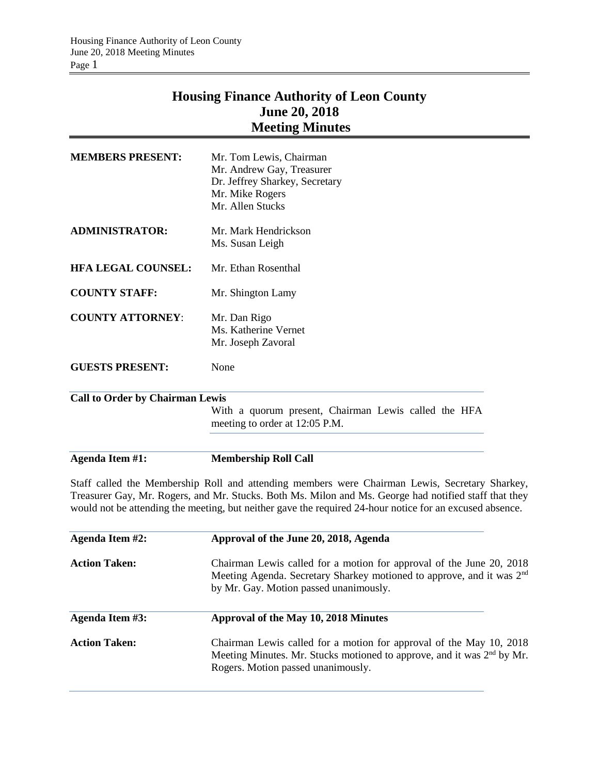## **Housing Finance Authority of Leon County June 20, 2018 Meeting Minutes**

| <b>Action Taken:</b>                   | Chairman Lewis called for a motion for approval of the May 10, 2018<br>Meeting Minutes. Mr. Stucks motioned to approve, and it was 2 <sup>nd</sup> by Mr.<br>Rogers. Motion passed unanimously.                                                                                                                     |
|----------------------------------------|---------------------------------------------------------------------------------------------------------------------------------------------------------------------------------------------------------------------------------------------------------------------------------------------------------------------|
| <b>Agenda Item #3:</b>                 | Approval of the May 10, 2018 Minutes                                                                                                                                                                                                                                                                                |
| <b>Action Taken:</b>                   | Chairman Lewis called for a motion for approval of the June 20, 2018<br>Meeting Agenda. Secretary Sharkey motioned to approve, and it was 2 <sup>nd</sup><br>by Mr. Gay. Motion passed unanimously.                                                                                                                 |
| <b>Agenda Item #2:</b>                 | Approval of the June 20, 2018, Agenda                                                                                                                                                                                                                                                                               |
|                                        | Staff called the Membership Roll and attending members were Chairman Lewis, Secretary Sharkey,<br>Treasurer Gay, Mr. Rogers, and Mr. Stucks. Both Ms. Milon and Ms. George had notified staff that they<br>would not be attending the meeting, but neither gave the required 24-hour notice for an excused absence. |
| <b>Agenda Item #1:</b>                 | <b>Membership Roll Call</b>                                                                                                                                                                                                                                                                                         |
| <b>Call to Order by Chairman Lewis</b> | With a quorum present, Chairman Lewis called the HFA<br>meeting to order at 12:05 P.M.                                                                                                                                                                                                                              |
| <b>GUESTS PRESENT:</b>                 | None                                                                                                                                                                                                                                                                                                                |
| <b>COUNTY ATTORNEY:</b>                | Mr. Dan Rigo<br>Ms. Katherine Vernet<br>Mr. Joseph Zavoral                                                                                                                                                                                                                                                          |
| <b>COUNTY STAFF:</b>                   | Mr. Shington Lamy                                                                                                                                                                                                                                                                                                   |
| <b>HFA LEGAL COUNSEL:</b>              | Mr. Ethan Rosenthal                                                                                                                                                                                                                                                                                                 |
| <b>ADMINISTRATOR:</b>                  | Mr. Mark Hendrickson<br>Ms. Susan Leigh                                                                                                                                                                                                                                                                             |
| <b>MEMBERS PRESENT:</b>                | Mr. Tom Lewis, Chairman<br>Mr. Andrew Gay, Treasurer<br>Dr. Jeffrey Sharkey, Secretary<br>Mr. Mike Rogers<br>Mr. Allen Stucks                                                                                                                                                                                       |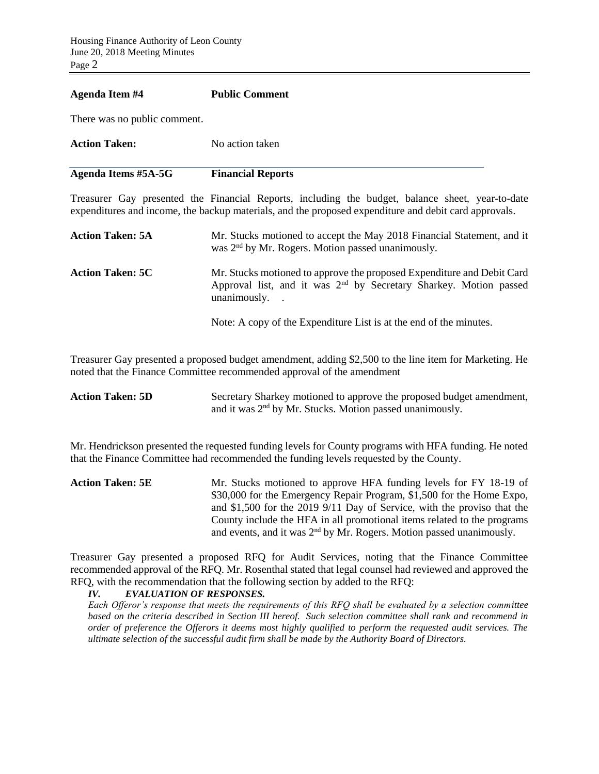## **Agenda Item #4 Public Comment**

There was no public comment.

| <b>Action Taken:</b> | No action taken          |
|----------------------|--------------------------|
| Agenda Items #5A-5G  | <b>Financial Reports</b> |

Treasurer Gay presented the Financial Reports, including the budget, balance sheet, year-to-date expenditures and income, the backup materials, and the proposed expenditure and debit card approvals.

| <b>Action Taken: 5A</b> | Mr. Stucks motioned to accept the May 2018 Financial Statement, and it<br>was $2nd$ by Mr. Rogers. Motion passed unanimously.                                   |
|-------------------------|-----------------------------------------------------------------------------------------------------------------------------------------------------------------|
| <b>Action Taken: 5C</b> | Mr. Stucks motioned to approve the proposed Expenditure and Debit Card<br>Approval list, and it was $2nd$ by Secretary Sharkey. Motion passed<br>unanimously. . |
|                         | Note: A copy of the Expenditure List is at the end of the minutes.                                                                                              |

Treasurer Gay presented a proposed budget amendment, adding \$2,500 to the line item for Marketing. He noted that the Finance Committee recommended approval of the amendment

| <b>Action Taken: 5D</b> | Secretary Sharkey motioned to approve the proposed budget amendment, |
|-------------------------|----------------------------------------------------------------------|
|                         | and it was 2 <sup>nd</sup> by Mr. Stucks. Motion passed unanimously. |

Mr. Hendrickson presented the requested funding levels for County programs with HFA funding. He noted that the Finance Committee had recommended the funding levels requested by the County.

Action Taken: 5E Mr. Stucks motioned to approve HFA funding levels for FY 18-19 of \$30,000 for the Emergency Repair Program, \$1,500 for the Home Expo, and \$1,500 for the 2019 9/11 Day of Service, with the proviso that the County include the HFA in all promotional items related to the programs and events, and it was  $2<sup>nd</sup>$  by Mr. Rogers. Motion passed unanimously.

Treasurer Gay presented a proposed RFQ for Audit Services, noting that the Finance Committee recommended approval of the RFQ. Mr. Rosenthal stated that legal counsel had reviewed and approved the RFQ, with the recommendation that the following section by added to the RFQ:

*IV. EVALUATION OF RESPONSES.* 

*Each Offeror's response that meets the requirements of this RFQ shall be evaluated by a selection committee based on the criteria described in Section III hereof. Such selection committee shall rank and recommend in order of preference the Offerors it deems most highly qualified to perform the requested audit services. The ultimate selection of the successful audit firm shall be made by the Authority Board of Directors.*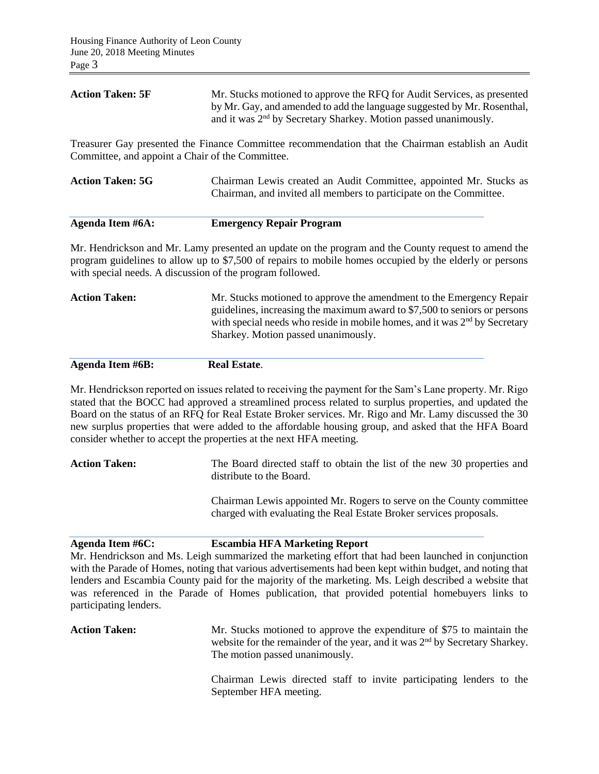| <b>Action Taken: 5F</b>                          | Mr. Stucks motioned to approve the RFQ for Audit Services, as presented<br>by Mr. Gay, and amended to add the language suggested by Mr. Rosenthal,<br>and it was 2 <sup>nd</sup> by Secretary Sharkey. Motion passed unanimously.                                                                                                                                                                                                                                                                          |
|--------------------------------------------------|------------------------------------------------------------------------------------------------------------------------------------------------------------------------------------------------------------------------------------------------------------------------------------------------------------------------------------------------------------------------------------------------------------------------------------------------------------------------------------------------------------|
| Committee, and appoint a Chair of the Committee. | Treasurer Gay presented the Finance Committee recommendation that the Chairman establish an Audit                                                                                                                                                                                                                                                                                                                                                                                                          |
| <b>Action Taken: 5G</b>                          | Chairman Lewis created an Audit Committee, appointed Mr. Stucks as<br>Chairman, and invited all members to participate on the Committee.                                                                                                                                                                                                                                                                                                                                                                   |
| Agenda Item #6A:                                 | <b>Emergency Repair Program</b>                                                                                                                                                                                                                                                                                                                                                                                                                                                                            |
|                                                  | Mr. Hendrickson and Mr. Lamy presented an update on the program and the County request to amend the<br>program guidelines to allow up to \$7,500 of repairs to mobile homes occupied by the elderly or persons<br>with special needs. A discussion of the program followed.                                                                                                                                                                                                                                |
| <b>Action Taken:</b>                             | Mr. Stucks motioned to approve the amendment to the Emergency Repair<br>guidelines, increasing the maximum award to \$7,500 to seniors or persons<br>with special needs who reside in mobile homes, and it was 2 <sup>nd</sup> by Secretary<br>Sharkey. Motion passed unanimously.                                                                                                                                                                                                                         |
| <b>Agenda Item #6B:</b>                          | <b>Real Estate.</b>                                                                                                                                                                                                                                                                                                                                                                                                                                                                                        |
|                                                  | Mr. Hendrickson reported on issues related to receiving the payment for the Sam's Lane property. Mr. Rigo<br>stated that the BOCC had approved a streamlined process related to surplus properties, and updated the<br>Board on the status of an RFQ for Real Estate Broker services. Mr. Rigo and Mr. Lamy discussed the 30<br>new surplus properties that were added to the affordable housing group, and asked that the HFA Board<br>consider whether to accept the properties at the next HFA meeting. |
| <b>Action Taken:</b>                             | The Board directed staff to obtain the list of the new 30 properties and<br>distribute to the Board.                                                                                                                                                                                                                                                                                                                                                                                                       |

Chairman Lewis appointed Mr. Rogers to serve on the County committee charged with evaluating the Real Estate Broker services proposals.

**Agenda Item #6C: Escambia HFA Marketing Report**

Mr. Hendrickson and Ms. Leigh summarized the marketing effort that had been launched in conjunction with the Parade of Homes, noting that various advertisements had been kept within budget, and noting that lenders and Escambia County paid for the majority of the marketing. Ms. Leigh described a website that was referenced in the Parade of Homes publication, that provided potential homebuyers links to participating lenders.

Action Taken: Mr. Stucks motioned to approve the expenditure of \$75 to maintain the website for the remainder of the year, and it was  $2<sup>nd</sup>$  by Secretary Sharkey. The motion passed unanimously.

> Chairman Lewis directed staff to invite participating lenders to the September HFA meeting.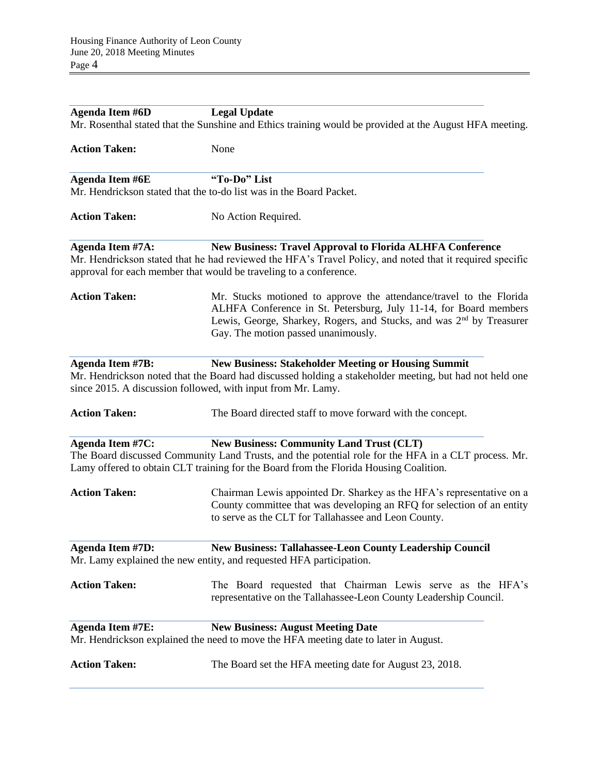| <b>Agenda Item #6D</b>                                                                                  | <b>Legal Update</b>                                                                                                                                                                                                                                                 |  |  |  |
|---------------------------------------------------------------------------------------------------------|---------------------------------------------------------------------------------------------------------------------------------------------------------------------------------------------------------------------------------------------------------------------|--|--|--|
| Mr. Rosenthal stated that the Sunshine and Ethics training would be provided at the August HFA meeting. |                                                                                                                                                                                                                                                                     |  |  |  |
| <b>Action Taken:</b>                                                                                    | None                                                                                                                                                                                                                                                                |  |  |  |
| <b>Agenda Item #6E</b>                                                                                  | "To-Do" List                                                                                                                                                                                                                                                        |  |  |  |
| Mr. Hendrickson stated that the to-do list was in the Board Packet.                                     |                                                                                                                                                                                                                                                                     |  |  |  |
| <b>Action Taken:</b>                                                                                    | No Action Required.                                                                                                                                                                                                                                                 |  |  |  |
| <b>Agenda Item #7A:</b>                                                                                 | New Business: Travel Approval to Florida ALHFA Conference<br>Mr. Hendrickson stated that he had reviewed the HFA's Travel Policy, and noted that it required specific<br>approval for each member that would be traveling to a conference.                          |  |  |  |
| <b>Action Taken:</b>                                                                                    | Mr. Stucks motioned to approve the attendance/travel to the Florida<br>ALHFA Conference in St. Petersburg, July 11-14, for Board members<br>Lewis, George, Sharkey, Rogers, and Stucks, and was 2 <sup>nd</sup> by Treasurer<br>Gay. The motion passed unanimously. |  |  |  |
| <b>Agenda Item #7B:</b>                                                                                 | <b>New Business: Stakeholder Meeting or Housing Summit</b><br>Mr. Hendrickson noted that the Board had discussed holding a stakeholder meeting, but had not held one<br>since 2015. A discussion followed, with input from Mr. Lamy.                                |  |  |  |
| <b>Action Taken:</b>                                                                                    | The Board directed staff to move forward with the concept.                                                                                                                                                                                                          |  |  |  |
| <b>Agenda Item #7C:</b>                                                                                 | <b>New Business: Community Land Trust (CLT)</b><br>The Board discussed Community Land Trusts, and the potential role for the HFA in a CLT process. Mr.<br>Lamy offered to obtain CLT training for the Board from the Florida Housing Coalition.                     |  |  |  |
| <b>Action Taken:</b>                                                                                    | Chairman Lewis appointed Dr. Sharkey as the HFA's representative on a<br>County committee that was developing an RFQ for selection of an entity<br>to serve as the CLT for Tallahassee and Leon County.                                                             |  |  |  |
| <b>Agenda Item #7D:</b>                                                                                 | <b>New Business: Tallahassee-Leon County Leadership Council</b><br>Mr. Lamy explained the new entity, and requested HFA participation.                                                                                                                              |  |  |  |
| <b>Action Taken:</b>                                                                                    | The Board requested that Chairman Lewis serve as the HFA's<br>representative on the Tallahassee-Leon County Leadership Council.                                                                                                                                     |  |  |  |
| <b>Agenda Item #7E:</b>                                                                                 | <b>New Business: August Meeting Date</b><br>Mr. Hendrickson explained the need to move the HFA meeting date to later in August.                                                                                                                                     |  |  |  |
| <b>Action Taken:</b>                                                                                    | The Board set the HFA meeting date for August 23, 2018.                                                                                                                                                                                                             |  |  |  |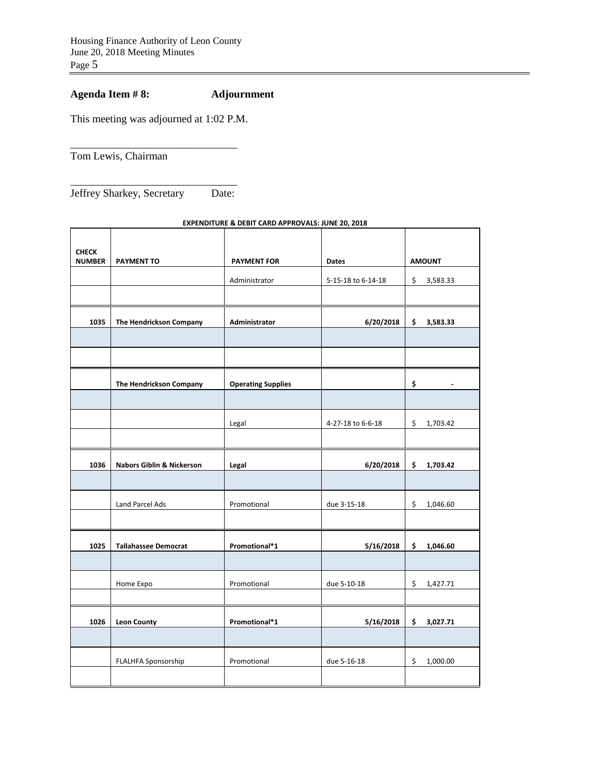## **Agenda Item # 8: Adjournment**

This meeting was adjourned at 1:02 P.M.

\_\_\_\_\_\_\_\_\_\_\_\_\_\_\_\_\_\_\_\_\_\_\_\_\_\_\_\_\_\_\_

Tom Lewis, Chairman

\_\_\_\_\_\_\_\_\_\_\_\_\_\_\_\_\_\_\_\_\_\_\_\_\_\_\_\_\_\_\_ Jeffrey Sharkey, Secretary Date:

## **CHECK PAYMENT TO PAYMENT FOR Dates AMOUNT** Administrator | 5-15-18 to 6-14-18 | \$ 3,583.33 **1035 The Hendrickson Company Administrator 6/20/2018 \$ 3,583.33 The Hendrickson Company Operating Supplies \$ -**  Legal 1-27-18 to 6-6-18 \$ 1,703.42 **1036 Nabors Giblin & Nickerson Legal 6/20/2018 \$ 1,703.42**  Land Parcel Ads **Promotional Promotional due 3-15-18** \$ 1,046.60 **1025 Tallahassee Democrat Promotional\*1 5/16/2018 \$ 1,046.60**  Home Expo **Promotional** due 5-10-18 <br>
and  $\begin{array}{|c|c|c|c|c|c|}\n\hline\n\end{array}$  Promotional due 5-10-18 <br>  $\begin{array}{|c|c|c|c|c|}\n\hline\n\end{array}$  5 1,427.71 **1026 Leon County Promotional\*1 5/16/2018 \$ 3,027.71**  FLALHFA Sponsorship Promotional due 5-16-18 \$ 1,000.00

**EXPENDITURE & DEBIT CARD APPROVALS: JUNE 20, 2018**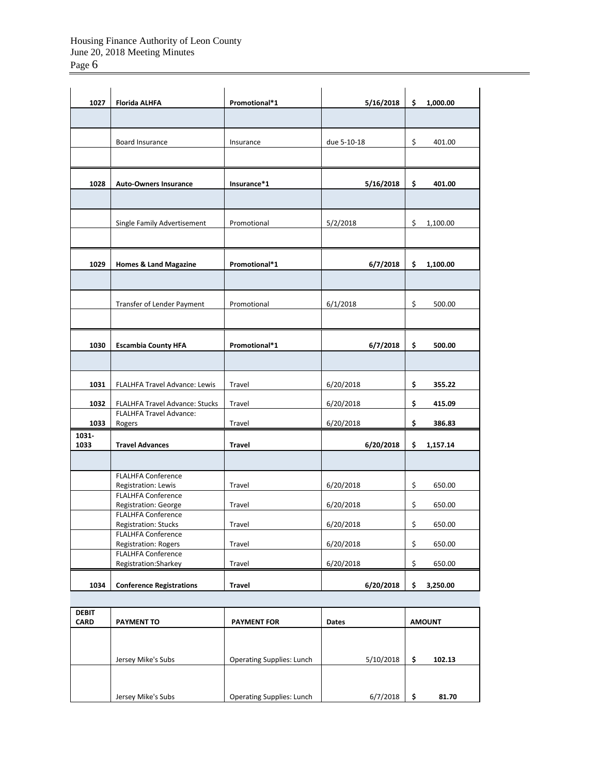| 1027          | <b>Florida ALHFA</b>                                     | Promotional*1 | 5/16/2018   | \$<br>1,000.00 |
|---------------|----------------------------------------------------------|---------------|-------------|----------------|
|               |                                                          |               |             |                |
|               | Board Insurance                                          | Insurance     | due 5-10-18 | \$<br>401.00   |
|               |                                                          |               |             |                |
| 1028          | <b>Auto-Owners Insurance</b>                             | Insurance*1   | 5/16/2018   | \$<br>401.00   |
|               |                                                          |               |             |                |
|               | Single Family Advertisement                              | Promotional   | 5/2/2018    | \$<br>1,100.00 |
|               |                                                          |               |             |                |
| 1029          | <b>Homes &amp; Land Magazine</b>                         | Promotional*1 | 6/7/2018    | \$<br>1,100.00 |
|               |                                                          |               |             |                |
|               | Transfer of Lender Payment                               | Promotional   | 6/1/2018    | \$<br>500.00   |
|               |                                                          |               |             |                |
| 1030          | <b>Escambia County HFA</b>                               | Promotional*1 | 6/7/2018    | 500.00<br>\$   |
|               |                                                          |               |             |                |
| 1031          | FLALHFA Travel Advance: Lewis                            | Travel        | 6/20/2018   | \$<br>355.22   |
| 1032          | FLALHFA Travel Advance: Stucks                           | Travel        | 6/20/2018   | \$<br>415.09   |
| 1033          | FLALHFA Travel Advance:<br>Rogers                        | Travel        | 6/20/2018   | \$<br>386.83   |
| 1031-<br>1033 | <b>Travel Advances</b>                                   | Travel        | 6/20/2018   | \$<br>1,157.14 |
|               |                                                          |               |             |                |
|               | <b>FLALHFA Conference</b><br>Registration: Lewis         | Travel        | 6/20/2018   | \$<br>650.00   |
|               | <b>FLALHFA Conference</b><br>Registration: George        | Travel        | 6/20/2018   | \$<br>650.00   |
|               | <b>FLALHFA Conference</b><br>Registration: Stucks        | Travel        | 6/20/2018   | \$<br>650.00   |
|               | <b>FLALHFA Conference</b><br><b>Registration: Rogers</b> | Travel        | 6/20/2018   | \$<br>650.00   |
|               | <b>FLALHFA Conference</b><br>Registration: Sharkey       | Travel        | 6/20/2018   | \$<br>650.00   |
| 1034          | <b>Conference Registrations</b>                          | <b>Travel</b> | 6/20/2018   | \$<br>3,250.00 |

| <b>DEBIT</b><br><b>CARD</b> | <b>PAYMENT TO</b>  | <b>PAYMENT FOR</b>               | <b>Dates</b> | <b>AMOUNT</b> |
|-----------------------------|--------------------|----------------------------------|--------------|---------------|
|                             |                    |                                  |              |               |
|                             | Jersey Mike's Subs | <b>Operating Supplies: Lunch</b> | 5/10/2018    | 102.13        |
|                             |                    |                                  |              |               |
|                             | Jersey Mike's Subs | <b>Operating Supplies: Lunch</b> | 6/7/2018     | Ś<br>81.70    |